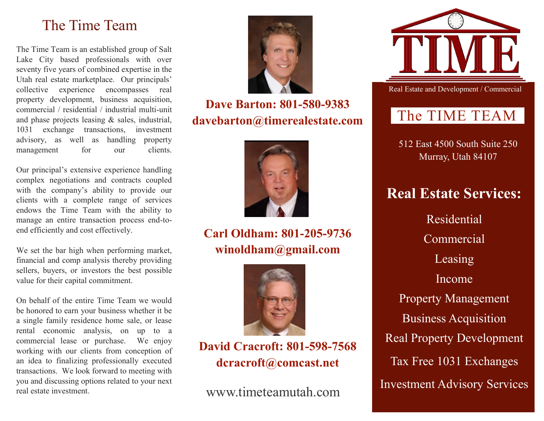# The Time Team

The Time Team is an established group of Salt Lake City based professionals with over seventy five years of combined expertise in the Utah real estate marketplace. Our principals' collective experience encompasses real property development, business acquisition, commercial / residential / industrial multi-unit and phase projects leasing & sales, industrial, 1031 exchange transactions, investment advisory, as well as handling property management for our clients.

Our principal's extensive experience handling complex negotiations and contracts coupled with the company's ability to provide our clients with a complete range of services endows the Time Team with the ability to manage an entire transaction process end-toend efficiently and cost effectively.

We set the bar high when performing market, financial and comp analysis thereby providing sellers, buyers, or investors the best possible value for their capital commitment.

On behalf of the entire Time Team we would be honored to earn your business whether it be a single family residence home sale, or lease rental economic analysis, on up to a commercial lease or purchase. We enjoy working with our clients from conception of an idea to finalizing professionally executed transactions. We look forward to meeting with you and discussing options related to your next real estate investment.



**Dave Barton: 801-580-9383 davebarton@timerealestate.com**



## **Carl Oldham: 801-205-9736 winoldham@gmail.com**



### **David Cracroft: 801-598-7568 dcracroft@comcast.net**



Real Estate and Development / Commercial

# The TIME TEAM

512 East 4500 South Suite 250 Murray, Utah 84107

# **Real Estate Services:**

Residential Commercial Leasing Income Property Management Business Acquisition Real Property Development Tax Free 1031 Exchanges Investment Advisory Services www.timeteamutah.com